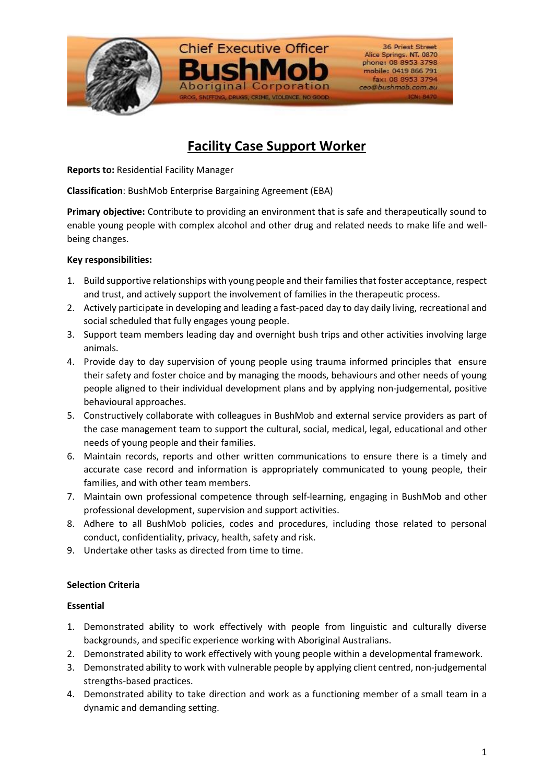

# **Facility Case Support Worker**

**Reports to:** Residential Facility Manager

**Classification**: BushMob Enterprise Bargaining Agreement (EBA)

**Primary objective:** Contribute to providing an environment that is safe and therapeutically sound to enable young people with complex alcohol and other drug and related needs to make life and wellbeing changes.

## **Key responsibilities:**

- 1. Build supportive relationships with young people and their families that foster acceptance, respect and trust, and actively support the involvement of families in the therapeutic process.
- 2. Actively participate in developing and leading a fast-paced day to day daily living, recreational and social scheduled that fully engages young people.
- 3. Support team members leading day and overnight bush trips and other activities involving large animals.
- 4. Provide day to day supervision of young people using trauma informed principles that ensure their safety and foster choice and by managing the moods, behaviours and other needs of young people aligned to their individual development plans and by applying non-judgemental, positive behavioural approaches.
- 5. Constructively collaborate with colleagues in BushMob and external service providers as part of the case management team to support the cultural, social, medical, legal, educational and other needs of young people and their families.
- 6. Maintain records, reports and other written communications to ensure there is a timely and accurate case record and information is appropriately communicated to young people, their families, and with other team members.
- 7. Maintain own professional competence through self-learning, engaging in BushMob and other professional development, supervision and support activities.
- 8. Adhere to all BushMob policies, codes and procedures, including those related to personal conduct, confidentiality, privacy, health, safety and risk.
- 9. Undertake other tasks as directed from time to time.

## **Selection Criteria**

## **Essential**

- 1. Demonstrated ability to work effectively with people from linguistic and culturally diverse backgrounds, and specific experience working with Aboriginal Australians.
- 2. Demonstrated ability to work effectively with young people within a developmental framework.
- 3. Demonstrated ability to work with vulnerable people by applying client centred, non-judgemental strengths-based practices.
- 4. Demonstrated ability to take direction and work as a functioning member of a small team in a dynamic and demanding setting.